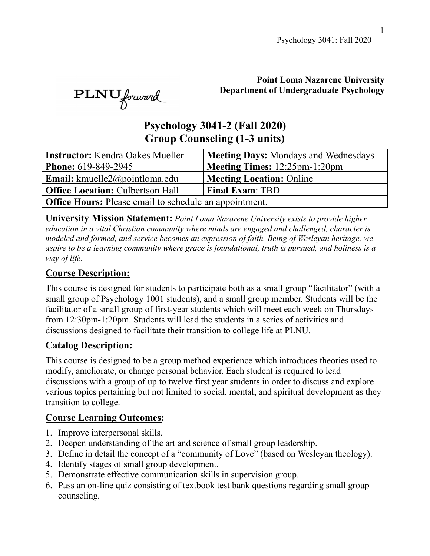#### **Point Loma Nazarene University Department of Undergraduate Psychology**

# **Psychology 3041-2 (Fall 2020) Group Counseling (1-3 units)**

| <b>Instructor:</b> Kendra Oakes Mueller                       | <b>Meeting Days: Mondays and Wednesdays</b> |  |  |  |  |  |
|---------------------------------------------------------------|---------------------------------------------|--|--|--|--|--|
| <b>Phone: 619-849-2945</b>                                    | Meeting Times: 12:25pm-1:20pm               |  |  |  |  |  |
| <b>Email:</b> kmuelle2@pointloma.edu                          | <b>Meeting Location: Online</b>             |  |  |  |  |  |
| <b>Office Location: Culbertson Hall</b>                       | <b>Final Exam: TBD</b>                      |  |  |  |  |  |
| <b>Office Hours:</b> Please email to schedule an appointment. |                                             |  |  |  |  |  |

**University Mission Statement:** *Point Loma Nazarene University exists to provide higher education in a vital Christian community where minds are engaged and challenged, character is modeled and formed, and service becomes an expression of faith. Being of Wesleyan heritage, we aspire to be a learning community where grace is foundational, truth is pursued, and holiness is a way of life.*

### **Course Description:**

PLNU forward

This course is designed for students to participate both as a small group "facilitator" (with a small group of Psychology 1001 students), and a small group member. Students will be the facilitator of a small group of first-year students which will meet each week on Thursdays from 12:30pm-1:20pm. Students will lead the students in a series of activities and discussions designed to facilitate their transition to college life at PLNU.

#### **Catalog Description:**

This course is designed to be a group method experience which introduces theories used to modify, ameliorate, or change personal behavior. Each student is required to lead discussions with a group of up to twelve first year students in order to discuss and explore various topics pertaining but not limited to social, mental, and spiritual development as they transition to college.

### **Course Learning Outcomes:**

- 1. Improve interpersonal skills.
- 2. Deepen understanding of the art and science of small group leadership.
- 3. Define in detail the concept of a "community of Love" (based on Wesleyan theology).
- 4. Identify stages of small group development.
- 5. Demonstrate effective communication skills in supervision group.
- 6. Pass an on-line quiz consisting of textbook test bank questions regarding small group counseling.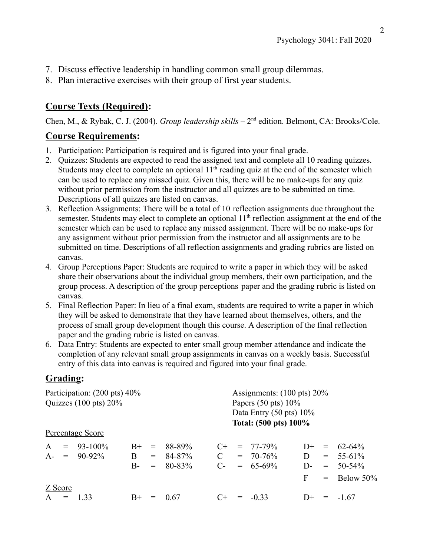- 7. Discuss effective leadership in handling common small group dilemmas.
- 8. Plan interactive exercises with their group of first year students.

## **Course Texts (Required):**

Chen, M., & Rybak, C. J. (2004). *Group leadership skills* – 2<sup>nd</sup> edition. Belmont, CA: Brooks/Cole.

#### **Course Requirements:**

- 1. Participation: Participation is required and is figured into your final grade.
- 2. Quizzes: Students are expected to read the assigned text and complete all 10 reading quizzes. Students may elect to complete an optional  $11<sup>th</sup>$  reading quiz at the end of the semester which can be used to replace any missed quiz. Given this, there will be no make-ups for any quiz without prior permission from the instructor and all quizzes are to be submitted on time. Descriptions of all quizzes are listed on canvas.
- 3. Reflection Assignments: There will be a total of 10 reflection assignments due throughout the semester. Students may elect to complete an optional 11<sup>th</sup> reflection assignment at the end of the semester which can be used to replace any missed assignment. There will be no make-ups for any assignment without prior permission from the instructor and all assignments are to be submitted on time. Descriptions of all reflection assignments and grading rubrics are listed on canvas.
- 4. Group Perceptions Paper: Students are required to write a paper in which they will be asked share their observations about the individual group members, their own participation, and the group process. A description of the group perceptions paper and the grading rubric is listed on canvas.
- 5. Final Reflection Paper: In lieu of a final exam, students are required to write a paper in which they will be asked to demonstrate that they have learned about themselves, others, and the process of small group development though this course. A description of the final reflection paper and the grading rubric is listed on canvas.
- 6. Data Entry: Students are expected to enter small group member attendance and indicate the completion of any relevant small group assignments in canvas on a weekly basis. Successful entry of this data into canvas is required and figured into your final grade.

### **Grading:**

| Participation: (200 pts) 40%<br>Quizzes $(100 \text{ pts}) 20\%$<br>Papers $(50 \text{ pts}) 10\%$<br>Data Entry $(50 \text{ pts}) 10\%$<br>Total: (500 pts) 100% |         |                  |       |     |            | Assignments: $(100 \text{ pts}) 20\%$ |     |               |      |                   |                |
|-------------------------------------------------------------------------------------------------------------------------------------------------------------------|---------|------------------|-------|-----|------------|---------------------------------------|-----|---------------|------|-------------------|----------------|
|                                                                                                                                                                   |         |                  |       |     |            |                                       |     |               |      |                   |                |
|                                                                                                                                                                   |         | Percentage Score |       |     |            |                                       |     |               |      |                   |                |
| $\mathbf{A}$                                                                                                                                                      | $=$     | $93 - 100\%$     | $B+$  | $=$ | 88-89%     | $C_{\pm}$                             |     | $= 77-79\%$   |      |                   | $D+ = 62-64\%$ |
|                                                                                                                                                                   |         | $A = 90-92\%$    | B     | $=$ | 84-87%     |                                       |     | $= 70 - 76\%$ | D.   |                   | $= 55-61\%$    |
|                                                                                                                                                                   |         |                  | $B -$ | $=$ | $80 - 83%$ | $C_{\tau}$                            |     | $= 65-69\%$   | $D-$ | $=$               | $50 - 54\%$    |
|                                                                                                                                                                   |         |                  |       |     |            |                                       |     |               | F    |                   | $=$ Below 50%  |
|                                                                                                                                                                   | Z Score |                  |       |     |            |                                       |     |               |      |                   |                |
|                                                                                                                                                                   | $A =$   | 1 33             | $B+$  |     | 0.67       | $C+$                                  | $=$ | $-0.33$       | $D+$ | $\qquad \qquad =$ | $-1.67$        |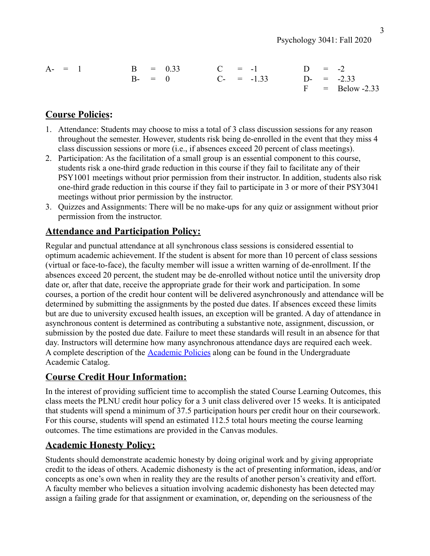Psychology 3041: Fall 2020

| $A - = 1$ | $B = 0.33$ $C = -1$ |                 | $D = -2$ |                   |
|-----------|---------------------|-----------------|----------|-------------------|
|           | $B - = 0$           | $C_{-}$ = -1.33 |          | $D = -2.33$       |
|           |                     |                 |          | $F = Below -2.33$ |

### **Course Policies:**

- 1. Attendance: Students may choose to miss a total of 3 class discussion sessions for any reason throughout the semester. However, students risk being de-enrolled in the event that they miss 4 class discussion sessions or more (i.e., if absences exceed 20 percent of class meetings).
- 2. Participation: As the facilitation of a small group is an essential component to this course, students risk a one-third grade reduction in this course if they fail to facilitate any of their PSY1001 meetings without prior permission from their instructor. In addition, students also risk one-third grade reduction in this course if they fail to participate in 3 or more of their PSY3041 meetings without prior permission by the instructor.
- 3. Quizzes and Assignments: There will be no make-ups for any quiz or assignment without prior permission from the instructor.

### **Attendance and Participation Policy:**

Regular and punctual attendance at all synchronous class sessions is considered essential to optimum academic achievement. If the student is absent for more than 10 percent of class sessions (virtual or face-to-face), the faculty member will issue a written warning of de-enrollment. If the absences exceed 20 percent, the student may be de-enrolled without notice until the university drop date or, after that date, receive the appropriate grade for their work and participation. In some courses, a portion of the credit hour content will be delivered asynchronously and attendance will be determined by submitting the assignments by the posted due dates. If absences exceed these limits but are due to university excused health issues, an exception will be granted. A day of attendance in asynchronous content is determined as contributing a substantive note, assignment, discussion, or submission by the posted due date. Failure to meet these standards will result in an absence for that day. Instructors will determine how many asynchronous attendance days are required each week. A complete description of the [Academic Policies](https://catalog.pointloma.edu/content.php?catoid=18&navoid=1278#Class_Attendance) along can be found in the Undergraduate Academic Catalog.

#### **Course Credit Hour Information:**

In the interest of providing sufficient time to accomplish the stated Course Learning Outcomes, this class meets the PLNU credit hour policy for a 3 unit class delivered over 15 weeks. It is anticipated that students will spend a minimum of 37.5 participation hours per credit hour on their coursework. For this course, students will spend an estimated 112.5 total hours meeting the course learning outcomes. The time estimations are provided in the Canvas modules.

#### **Academic Honesty Policy:**

Students should demonstrate academic honesty by doing original work and by giving appropriate credit to the ideas of others. Academic dishonesty is the act of presenting information, ideas, and/or concepts as one's own when in reality they are the results of another person's creativity and effort. A faculty member who believes a situation involving academic dishonesty has been detected may assign a failing grade for that assignment or examination, or, depending on the seriousness of the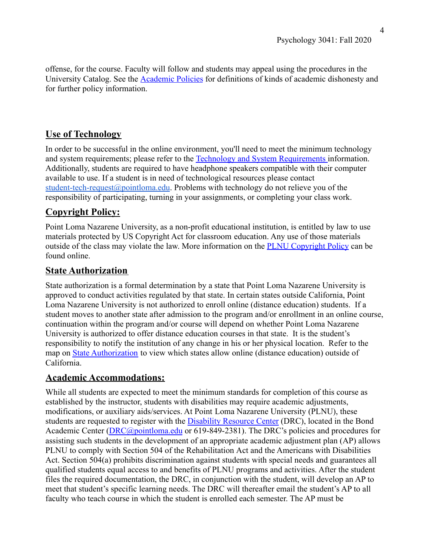offense, for the course. Faculty will follow and students may appeal using the procedures in the University Catalog. See the [Academic Policies](https://catalog.pointloma.edu/content.php?catoid=18&navoid=1278#Academic_Honesty) for definitions of kinds of academic dishonesty and for further policy information.

### **Use of Technology**

In order to be successful in the online environment, you'll need to meet the minimum technology and system requirements; please refer to the Technology [and System Requirements](https://help.pointloma.edu/TDClient/1808/Portal/KB/ArticleDet?ID=108349) information. Additionally, students are required to have headphone speakers compatible with their computer available to use. If a student is in need of technological resources please contact [student-tech-request@pointloma.edu](mailto:student-tech-request@pointloma.edu). Problems with technology do not relieve you of the responsibility of participating, turning in your assignments, or completing your class work.

### **Copyright Policy:**

Point Loma Nazarene University, as a non-profit educational institution, is entitled by law to use materials protected by US Copyright Act for classroom education. Any use of those materials outside of the class may violate the law. More information on the [PLNU Copyright Policy](http://libguides.pointloma.edu/content.php?pid=203591&sid=1700398) can be found online.

#### **State Authorization**

State authorization is a formal determination by a state that Point Loma Nazarene University is approved to conduct activities regulated by that state. In certain states outside California, Point Loma Nazarene University is not authorized to enroll online (distance education) students. If a student moves to another state after admission to the program and/or enrollment in an online course, continuation within the program and/or course will depend on whether Point Loma Nazarene University is authorized to offer distance education courses in that state. It is the student's responsibility to notify the institution of any change in his or her physical location. Refer to the map on [State Authorization](https://www.pointloma.edu/offices/office-institutional-effectiveness-research/disclosures) to view which states allow online (distance education) outside of California.

### **Academic Accommodations:**

While all students are expected to meet the minimum standards for completion of this course as established by the instructor, students with disabilities may require academic adjustments, modifications, or auxiliary aids/services. At Point Loma Nazarene University (PLNU), these students are requested to register with the Disability [Resource Center](http://www.pointloma.edu/experience/offices/administrative-offices/academic-advising-office/disability-resource-center) (DRC), located in the Bond Academic Center [\(DRC@pointloma.edu](mailto:DRC@pointloma.edu) or 619-849-2381). The DRC's policies and procedures for assisting such students in the development of an appropriate academic adjustment plan (AP) allows PLNU to comply with Section 504 of the Rehabilitation Act and the Americans with Disabilities Act. Section 504(a) prohibits discrimination against students with special needs and guarantees all qualified students equal access to and benefits of PLNU programs and activities. After the student files the required documentation, the DRC, in conjunction with the student, will develop an AP to meet that student's specific learning needs. The DRC will thereafter email the student's AP to all faculty who teach course in which the student is enrolled each semester. The AP must be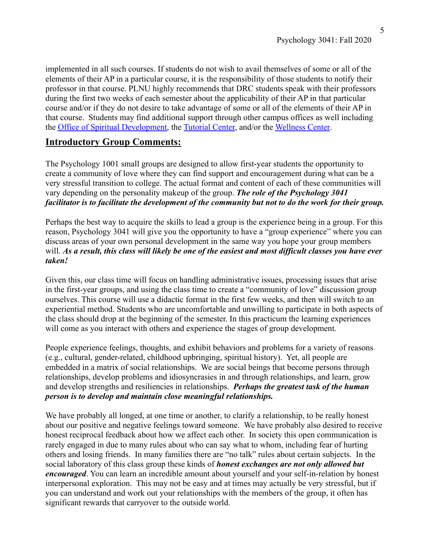implemented in all such courses. If students do not wish to avail themselves of some or all of the elements of their AP in a particular course, it is the responsibility of those students to notify their professor in that course. PLNU highly recommends that DRC students speak with their professors during the first two weeks of each semester about the applicability of their AP in that particular course and/or if they do not desire to take advantage of some or all of the elements of their AP in that course. Students may find additional support through other campus offices as well including the [Office of Spiritual Development,](https://www.pointloma.edu/offices/spiritual-development) the [Tutorial](https://www.pointloma.edu/offices/tutorial-services) Center, and/or the [Wellness Center](https://www.pointloma.edu/offices/wellness-center).

#### **Introductory Group Comments:**

The Psychology 1001 small groups are designed to allow first-year students the opportunity to create a community of love where they can find support and encouragement during what can be a very stressful transition to college. The actual format and content of each of these communities will vary depending on the personality makeup of the group. *The role of the Psychology 3041 facilitator is to facilitate the development of the community but not to do the work for their group.*

Perhaps the best way to acquire the skills to lead a group is the experience being in a group. For this reason, Psychology 3041 will give you the opportunity to have a "group experience" where you can discuss areas of your own personal development in the same way you hope your group members will. *As a result, this class will likely be one of the easiest and most difficult classes you have ever taken!*

Given this, our class time will focus on handling administrative issues, processing issues that arise in the first-year groups, and using the class time to create a "community of love" discussion group ourselves. This course will use a didactic format in the first few weeks, and then will switch to an experiential method. Students who are uncomfortable and unwilling to participate in both aspects of the class should drop at the beginning of the semester. In this practicum the learning experiences will come as you interact with others and experience the stages of group development.

People experience feelings, thoughts, and exhibit behaviors and problems for a variety of reasons (e.g., cultural, gender-related, childhood upbringing, spiritual history). Yet, all people are embedded in a matrix of social relationships. We are social beings that become persons through relationships, develop problems and idiosyncrasies in and through relationships, and learn, grow and develop strengths and resiliencies in relationships. *Perhaps the greatest task of the human person is to develop and maintain close meaningful relationships.*

We have probably all longed, at one time or another, to clarify a relationship, to be really honest about our positive and negative feelings toward someone. We have probably also desired to receive honest reciprocal feedback about how we affect each other. In society this open communication is rarely engaged in due to many rules about who can say what to whom, including fear of hurting others and losing friends. In many families there are "no talk" rules about certain subjects. In the social laboratory of this class group these kinds of *honest exchanges are not only allowed but encouraged*. You can learn an incredible amount about yourself and your self-in-relation by honest interpersonal exploration. This may not be easy and at times may actually be very stressful, but if you can understand and work out your relationships with the members of the group, it often has significant rewards that carryover to the outside world.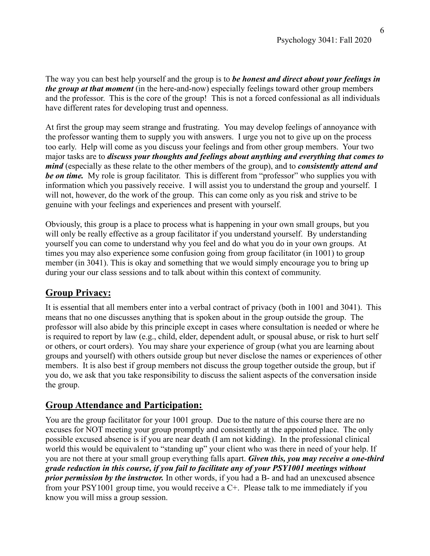The way you can best help yourself and the group is to *be honest and direct about your feelings in the group at that moment* (in the here-and-now) especially feelings toward other group members and the professor. This is the core of the group! This is not a forced confessional as all individuals have different rates for developing trust and openness.

At first the group may seem strange and frustrating. You may develop feelings of annoyance with the professor wanting them to supply you with answers. I urge you not to give up on the process too early. Help will come as you discuss your feelings and from other group members. Your two major tasks are to *discuss your thoughts and feelings about anything and everything that comes to mind* (especially as these relate to the other members of the group), and to *consistently attend and be on time.* My role is group facilitator. This is different from "professor" who supplies you with information which you passively receive. I will assist you to understand the group and yourself. I will not, however, do the work of the group. This can come only as you risk and strive to be genuine with your feelings and experiences and present with yourself.

Obviously, this group is a place to process what is happening in your own small groups, but you will only be really effective as a group facilitator if you understand yourself. By understanding yourself you can come to understand why you feel and do what you do in your own groups. At times you may also experience some confusion going from group facilitator (in 1001) to group member (in 3041). This is okay and something that we would simply encourage you to bring up during your our class sessions and to talk about within this context of community.

### **Group Privacy:**

It is essential that all members enter into a verbal contract of privacy (both in 1001 and 3041). This means that no one discusses anything that is spoken about in the group outside the group. The professor will also abide by this principle except in cases where consultation is needed or where he is required to report by law (e.g., child, elder, dependent adult, or spousal abuse, or risk to hurt self or others, or court orders). You may share your experience of group (what you are learning about groups and yourself) with others outside group but never disclose the names or experiences of other members. It is also best if group members not discuss the group together outside the group, but if you do, we ask that you take responsibility to discuss the salient aspects of the conversation inside the group.

#### **Group Attendance and Participation:**

You are the group facilitator for your 1001 group. Due to the nature of this course there are no excuses for NOT meeting your group promptly and consistently at the appointed place. The only possible excused absence is if you are near death (I am not kidding). In the professional clinical world this would be equivalent to "standing up" your client who was there in need of your help. If you are not there at your small group everything falls apart. *Given this, you may receive a one-third grade reduction in this course, if you fail to facilitate any of your PSY1001 meetings without prior permission by the instructor.* In other words, if you had a B- and had an unexcused absence from your PSY1001 group time, you would receive a C+. Please talk to me immediately if you know you will miss a group session.